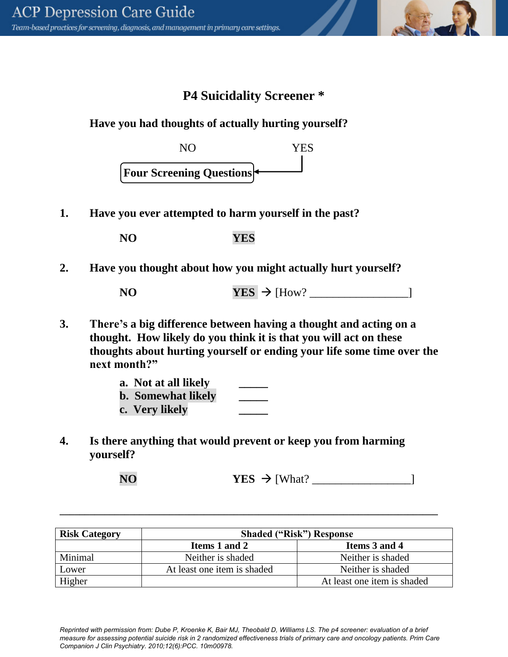## **P4 Suicidality Screener \***

## **Have you had thoughts of actually hurting yourself?**



**1. Have you ever attempted to harm yourself in the past?**

| <b>YES</b><br><b>NO</b> |
|-------------------------|
|-------------------------|

**2. Have you thought about how you might actually hurt yourself?**

| NO <sub>1</sub> | $YES$ $\rightarrow$ [How?] |  |
|-----------------|----------------------------|--|
|-----------------|----------------------------|--|

**3. There's a big difference between having a thought and acting on a thought. How likely do you think it is that you will act on these thoughts about hurting yourself or ending your life some time over the next month?"**

| a. Not at all likely      |  |
|---------------------------|--|
| <b>b.</b> Somewhat likely |  |
| c. Very likely            |  |

**4. Is there anything that would prevent or keep you from harming yourself?** 

**NO YES** [What? \_\_\_\_\_\_\_\_\_\_\_\_\_\_\_\_\_]

| <b>Risk Category</b> | <b>Shaded ("Risk") Response</b> |                             |  |
|----------------------|---------------------------------|-----------------------------|--|
|                      | Items 1 and 2                   | Items 3 and 4               |  |
| Minimal              | Neither is shaded               | Neither is shaded           |  |
| Lower                | At least one item is shaded     | Neither is shaded           |  |
| Higher               |                                 | At least one item is shaded |  |

**\_\_\_\_\_\_\_\_\_\_\_\_\_\_\_\_\_\_\_\_\_\_\_\_\_\_\_\_\_\_\_\_\_\_\_\_\_\_\_\_\_\_\_\_\_\_\_\_\_\_\_\_\_\_\_\_\_\_\_\_\_\_\_\_\_\_\_\_\_\_\_\_\_\_\_\_** 

*Reprinted with permission from: Dube P, Kroenke K, Bair MJ, Theobald D, Williams LS. The p4 screener: evaluation of a brief measure for assessing potential suicide risk in 2 randomized effectiveness trials of primary care and oncology patients. Prim Care Companion J Clin Psychiatry. 2010;12(6):PCC. 10m00978.*